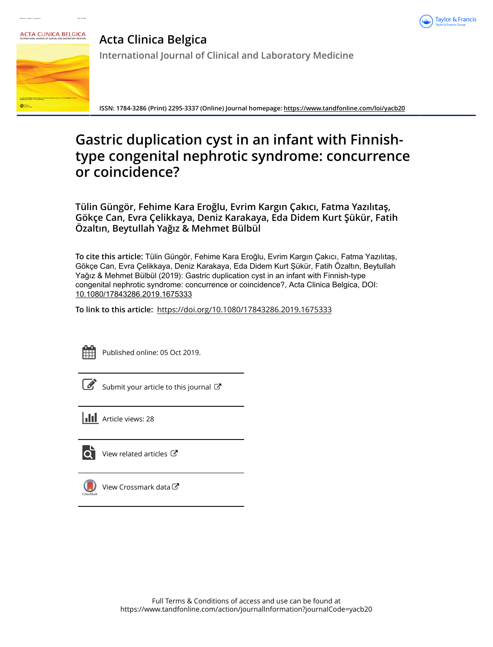



**Acta Clinica Belgica International Journal of Clinical and Laboratory Medicine**

**ISSN: 1784-3286 (Print) 2295-3337 (Online) Journal homepage:<https://www.tandfonline.com/loi/yacb20>**

# **Gastric duplication cyst in an infant with Finnishtype congenital nephrotic syndrome: concurrence or coincidence?**

**Tülin Güngör, Fehime Kara Eroğlu, Evrim Kargın Çakıcı, Fatma Yazılıtaş, Gökçe Can, Evra Çelikkaya, Deniz Karakaya, Eda Didem Kurt Şükür, Fatih Özaltın, Beytullah Yağız & Mehmet Bülbül**

**To cite this article:** Tülin Güngör, Fehime Kara Eroğlu, Evrim Kargın Çakıcı, Fatma Yazılıtaş, Gökçe Can, Evra Çelikkaya, Deniz Karakaya, Eda Didem Kurt Şükür, Fatih Özaltın, Beytullah Yağız & Mehmet Bülbül (2019): Gastric duplication cyst in an infant with Finnish-type congenital nephrotic syndrome: concurrence or coincidence?, Acta Clinica Belgica, DOI: [10.1080/17843286.2019.1675333](https://www.tandfonline.com/action/showCitFormats?doi=10.1080/17843286.2019.1675333)

**To link to this article:** <https://doi.org/10.1080/17843286.2019.1675333>



Published online: 05 Oct 2019.

| ł |
|---|

[Submit your article to this journal](https://www.tandfonline.com/action/authorSubmission?journalCode=yacb20&show=instructions)  $\mathbb{Z}$ 

**III** Article views: 28



[View related articles](https://www.tandfonline.com/doi/mlt/10.1080/17843286.2019.1675333) ぴ



[View Crossmark data](http://crossmark.crossref.org/dialog/?doi=10.1080/17843286.2019.1675333&domain=pdf&date_stamp=2019-10-05)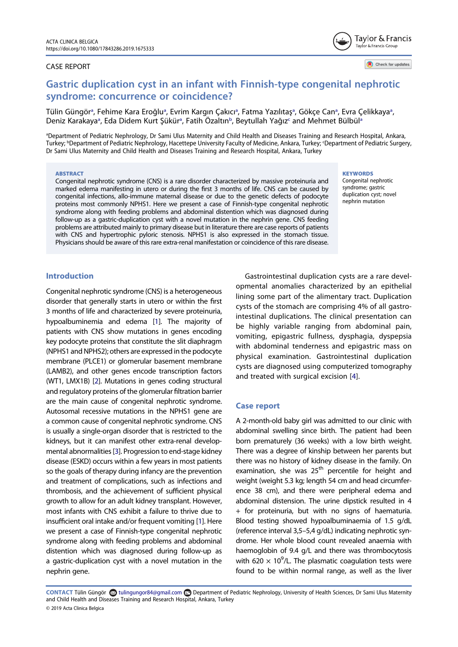### CASE REPORT



Check for updates

## Gastric duplication cyst in an infant with Finnish-type congenital nephrotic syndrome: concurrence or coincidence?

Tülin Güngör<sup>a</sup>, Fehime Ka[ra](#page-1-0) Eroğlu<sup>[a](#page-1-0)</sup>, Evrim Kargın Çakıcı<sup>a</sup>, Fatma Yazılıtaş<sup>a</sup>, Gökçe Can<sup>a</sup>, Evra Çelikkaya<sup>a</sup>, Deniz Ka[ra](#page-1-0)kaya<sup>a</sup>, Eda Didem Kurt Şükür<sup>a</sup>, Fatih Özaltın<sup>[b](#page-1-1)</sup>, Beytul[la](#page-1-0)h Yağız<sup>c</sup> and Mehmet Bülbül<sup>a</sup>

<span id="page-1-1"></span><span id="page-1-0"></span>a Department of Pediatric Nephrology, Dr Sami Ulus Maternity and Child Health and Diseases Training and Research Hospital, Ankara, Turkey; <sup>b</sup>Department of Pediatric Nephrology, Hacettepe University Faculty of Medicine, Ankara, Turkey; 'Department of Pediatric Surgery, Dr Sami Ulus Maternity and Child Health and Diseases Training and Research Hospital, Ankara, Turkey

#### ABSTRACT

Congenital nephrotic syndrome (CNS) is a rare disorder characterized by massive proteinuria and marked edema manifesting in utero or during the first 3 months of life. CNS can be caused by congenital infections, allo-immune maternal disease or due to the genetic defects of podocyte proteins most commonly NPHS1. Here we present a case of Finnish-type congenital nephrotic syndrome along with feeding problems and abdominal distention which was diagnosed during follow-up as a gastric-duplication cyst with a novel mutation in the nephrin gene. CNS feeding problems are attributed mainly to primary disease but in literature there are case reports of patients with CNS and hypertrophic pyloric stenosis. NPHS1 is also expressed in the stomach tissue. Physicians should be aware of this rare extra-renal manifestation or coincidence of this rare disease.

#### **KEYWORDS**

Congenital nephrotic syndrome; gastric duplication cyst; novel nephrin mutation

## Introduction

<span id="page-1-3"></span>Congenital nephrotic syndrome (CNS) is a heterogeneous disorder that generally starts in utero or within the first 3 months of life and characterized by severe proteinuria, hypoalbuminemia and edema [\[1](#page-3-0)]. The majority of patients with CNS show mutations in genes encoding key podocyte proteins that constitute the slit diaphragm (NPHS1 and NPHS2); others are expressed in the podocyte membrane (PLCE1) or glomerular basement membrane (LAMB2), and other genes encode transcription factors (WT1, LMX1B) [\[2\]](#page-3-1). Mutations in genes coding structural and regulatory proteins of the glomerular filtration barrier are the main cause of congenital nephrotic syndrome. Autosomal recessive mutations in the NPHS1 gene are a common cause of congenital nephrotic syndrome. CNS is usually a single-organ disorder that is restricted to the kidneys, but it can manifest other extra-renal developmental abnormalities [\[3](#page-3-2)]. Progression to end-stage kidney disease (ESKD) occurs within a few years in most patients so the goals of therapy during infancy are the prevention and treatment of complications, such as infections and thrombosis, and the achievement of sufficient physical growth to allow for an adult kidney transplant. However, most infants with CNS exhibit a failure to thrive due to insufficient oral intake and/or frequent vomiting [[1\]](#page-3-0). Here we present a case of Finnish-type congenital nephrotic syndrome along with feeding problems and abdominal distention which was diagnosed during follow-up as a gastric-duplication cyst with a novel mutation in the nephrin gene.

Gastrointestinal duplication cysts are a rare developmental anomalies characterized by an epithelial lining some part of the alimentary tract. Duplication cysts of the stomach are comprising 4% of all gastrointestinal duplications. The clinical presentation can be highly variable ranging from abdominal pain, vomiting, epigastric fullness, dysphagia, dyspepsia with abdominal tenderness and epigastric mass on physical examination. Gastrointestinal duplication cysts are diagnosed using computerized tomography and treated with surgical excision [[4\]](#page-3-3).

#### <span id="page-1-5"></span>Case report

A 2-month-old baby girl was admitted to our clinic with abdominal swelling since birth. The patient had been born prematurely (36 weeks) with a low birth weight. There was a degree of kinship between her parents but there was no history of kidney disease in the family. On examination, she was 25<sup>th</sup> percentile for height and weight (weight 5.3 kg; length 54 cm and head circumference 38 cm), and there were peripheral edema and abdominal distension. The urine dipstick resulted in 4 + for proteinuria, but with no signs of haematuria. Blood testing showed hypoalbuminaemia of 1.5 g/dL (reference interval 3,5–5,4 g/dL) indicating nephrotic syndrome. Her whole blood count revealed anaemia with haemoglobin of 9.4 g/L and there was thrombocytosis with 620  $\times$  10<sup>9</sup>/L. The plasmatic coagulation tests were found to be within normal range, as well as the liver

<span id="page-1-4"></span><span id="page-1-2"></span>CONTACT Tülin Güngör & tulingungor84@gmail.com Department of Pediatric Nephrology, University of Health Sciences, Dr Sami Ulus Maternity and Child Health and Diseases Training and Research Hospital, Ankara, Turkey © 2019 Acta Clinica Belgica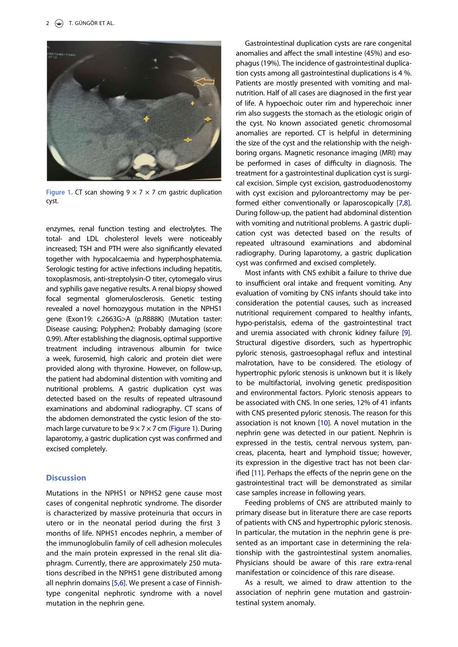<span id="page-2-0"></span>

Figure 1. CT scan showing  $9 \times 7 \times 7$  cm gastric duplication cyst.

enzymes, renal function testing and electrolytes. The total- and LDL cholesterol levels were noticeably increased; TSH and PTH were also significantly elevated together with hypocalcaemia and hyperphosphatemia. Serologic testing for active infections including hepatitis, toxoplasmosis, anti-streptolysin-O titer, cytomegalo virus and syphilis gave negative results. A renal biopsy showed focal segmental glomerulosclerosis. Genetic testing revealed a novel homozygous mutation in the NPHS1 gene (Exon19: c.2663G>A (p.R888K) (Mutation taster: Disease causing; Polyphen2: Probably damaging (score 0.99). After establishing the diagnosis, optimal supportive treatment including intravenous albumin for twice a week, furosemid, high caloric and protein diet were provided along with thyroxine. However, on follow-up, the patient had abdominal distention with vomiting and nutritional problems. A gastric duplication cyst was detected based on the results of repeated ultrasound examinations and abdominal radiography. CT scans of the abdomen demonstrated the cystic lesion of the stomach large curvature to be  $9 \times 7 \times 7$  cm [\(Figure 1](#page-2-0)). During laparotomy, a gastric duplication cyst was confirmed and excised completely.

### **Discussion**

<span id="page-2-1"></span>Mutations in the NPHS1 or NPHS2 gene cause most cases of congenital nephrotic syndrome. The disorder is characterized by massive proteinuria that occurs in utero or in the neonatal period during the first 3 months of life. NPHS1 encodes nephrin, a member of the immunoglobulin family of cell adhesion molecules and the main protein expressed in the renal slit diaphragm. Currently, there are approximately 250 mutations described in the NPHS1 gene distributed among all nephrin domains [\[5](#page-3-4)[,6](#page-3-5)]. We present a case of Finnishtype congenital nephrotic syndrome with a novel mutation in the nephrin gene.

Gastrointestinal duplication cysts are rare congenital anomalies and affect the small intestine (45%) and esophagus (19%). The incidence of gastrointestinal duplication cysts among all gastrointestinal duplications is 4 %. Patients are mostly presented with vomiting and malnutrition. Half of all cases are diagnosed in the first year of life. A hypoechoic outer rim and hyperechoic inner rim also suggests the stomach as the etiologic origin of the cyst. No known associated genetic chromosomal anomalies are reported. CT is helpful in determining the size of the cyst and the relationship with the neighboring organs. Magnetic resonance imaging (MRI) may be performed in cases of difficulty in diagnosis. The treatment for a gastrointestinal duplication cyst is surgical excision. Simple cyst excision, gastroduodenostomy with cyst excision and pyloroantrectomy may be performed either conventionally or laparoscopically [\[7](#page-3-6)[,8](#page-3-7)]. During follow-up, the patient had abdominal distention with vomiting and nutritional problems. A gastric duplication cyst was detected based on the results of repeated ultrasound examinations and abdominal radiography. During laparotomy, a gastric duplication cyst was confirmed and excised completely.

<span id="page-2-3"></span><span id="page-2-2"></span>Most infants with CNS exhibit a failure to thrive due to insufficient oral intake and frequent vomiting. Any evaluation of vomiting by CNS infants should take into consideration the potential causes, such as increased nutritional requirement compared to healthy infants, hypo-peristalsis, edema of the gastrointestinal tract and uremia associated with chronic kidney failure [\[9](#page-3-8)]. Structural digestive disorders, such as hypertrophic pyloric stenosis, gastroesophagal reflux and intestinal malrotation, have to be considered. The etiology of hypertrophic pyloric stenosis is unknown but it is likely to be multifactorial, involving genetic predisposition and environmental factors. Pyloric stenosis appears to be associated with CNS. In one series, 12% of 41 infants with CNS presented pyloric stenosis. The reason for this association is not known [\[10](#page-3-9)]. A novel mutation in the nephrin gene was detected in our patient. Nephrin is expressed in the testis, central nervous system, pancreas, placenta, heart and lymphoid tissue; however, its expression in the digestive tract has not been clarified [[11\]](#page-3-10). Perhaps the effects of the neprin gene on the gastrointestinal tract will be demonstrated as similar case samples increase in following years.

<span id="page-2-5"></span><span id="page-2-4"></span>Feeding problems of CNS are attributed mainly to primary disease but in literature there are case reports of patients with CNS and hypertrophic pyloric stenosis. In particular, the mutation in the nephrin gene is presented as an important case in determining the relationship with the gastrointestinal system anomalies. Physicians should be aware of this rare extra-renal manifestation or coincidence of this rare disease.

As a result, we aimed to draw attention to the association of nephrin gene mutation and gastrointestinal system anomaly.